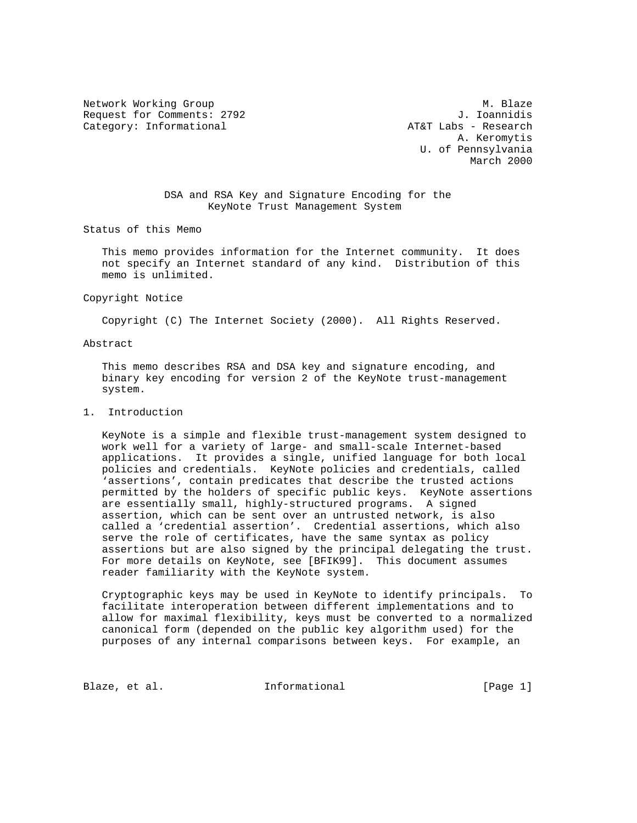Network Working Group 1997 1998 M. Blaze<br>Request for Comments: 2792 1. Ioannidis Request for Comments: 2792 Category: Informational and the control of the AT&T Labs - Research

 A. Keromytis U. of Pennsylvania March 2000

> DSA and RSA Key and Signature Encoding for the KeyNote Trust Management System

Status of this Memo

 This memo provides information for the Internet community. It does not specify an Internet standard of any kind. Distribution of this memo is unlimited.

Copyright Notice

Copyright (C) The Internet Society (2000). All Rights Reserved.

Abstract

 This memo describes RSA and DSA key and signature encoding, and binary key encoding for version 2 of the KeyNote trust-management system.

## 1. Introduction

 KeyNote is a simple and flexible trust-management system designed to work well for a variety of large- and small-scale Internet-based applications. It provides a single, unified language for both local policies and credentials. KeyNote policies and credentials, called 'assertions', contain predicates that describe the trusted actions permitted by the holders of specific public keys. KeyNote assertions are essentially small, highly-structured programs. A signed assertion, which can be sent over an untrusted network, is also called a 'credential assertion'. Credential assertions, which also serve the role of certificates, have the same syntax as policy assertions but are also signed by the principal delegating the trust. For more details on KeyNote, see [BFIK99]. This document assumes reader familiarity with the KeyNote system.

 Cryptographic keys may be used in KeyNote to identify principals. To facilitate interoperation between different implementations and to allow for maximal flexibility, keys must be converted to a normalized canonical form (depended on the public key algorithm used) for the purposes of any internal comparisons between keys. For example, an

Blaze, et al.  $I_n$  Informational [Page 1]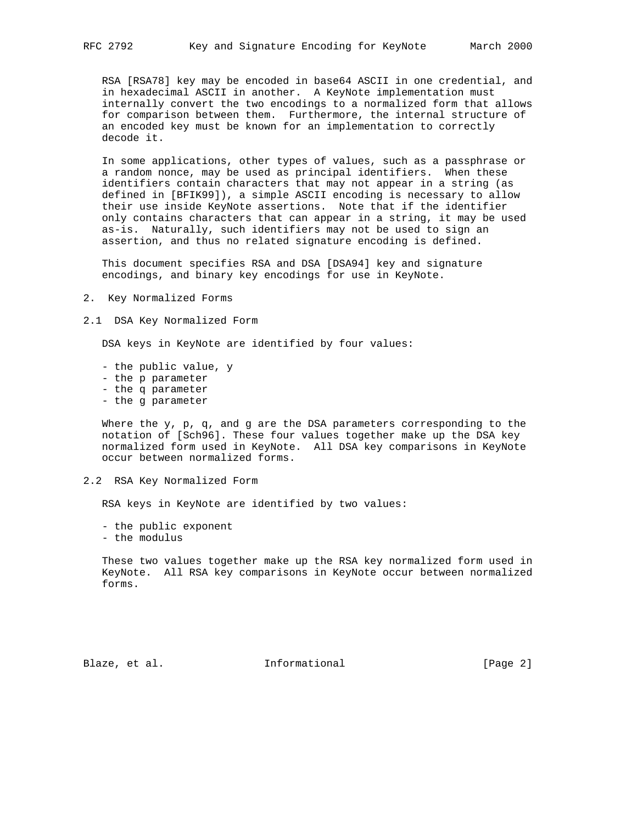RSA [RSA78] key may be encoded in base64 ASCII in one credential, and in hexadecimal ASCII in another. A KeyNote implementation must internally convert the two encodings to a normalized form that allows for comparison between them. Furthermore, the internal structure of an encoded key must be known for an implementation to correctly decode it.

 In some applications, other types of values, such as a passphrase or a random nonce, may be used as principal identifiers. When these identifiers contain characters that may not appear in a string (as defined in [BFIK99]), a simple ASCII encoding is necessary to allow their use inside KeyNote assertions. Note that if the identifier only contains characters that can appear in a string, it may be used as-is. Naturally, such identifiers may not be used to sign an assertion, and thus no related signature encoding is defined.

 This document specifies RSA and DSA [DSA94] key and signature encodings, and binary key encodings for use in KeyNote.

- 2. Key Normalized Forms
- 2.1 DSA Key Normalized Form

DSA keys in KeyNote are identified by four values:

- the public value, y
- the p parameter
- the q parameter
- the g parameter

 Where the y, p, q, and g are the DSA parameters corresponding to the notation of [Sch96]. These four values together make up the DSA key normalized form used in KeyNote. All DSA key comparisons in KeyNote occur between normalized forms.

2.2 RSA Key Normalized Form

RSA keys in KeyNote are identified by two values:

- the public exponent
- the modulus

 These two values together make up the RSA key normalized form used in KeyNote. All RSA key comparisons in KeyNote occur between normalized forms.

Blaze, et al. **Informational** [Page 2]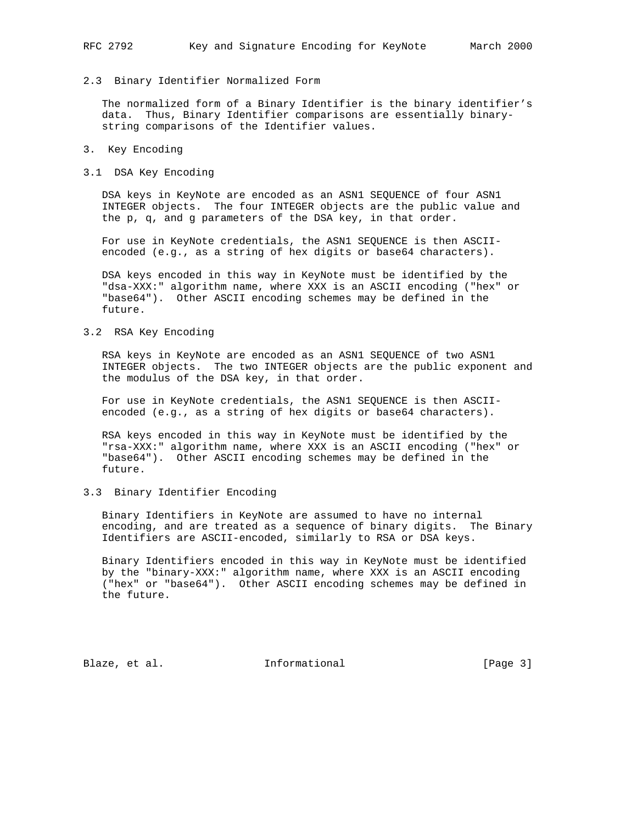## 2.3 Binary Identifier Normalized Form

 The normalized form of a Binary Identifier is the binary identifier's data. Thus, Binary Identifier comparisons are essentially binary string comparisons of the Identifier values.

- 3. Key Encoding
- 3.1 DSA Key Encoding

 DSA keys in KeyNote are encoded as an ASN1 SEQUENCE of four ASN1 INTEGER objects. The four INTEGER objects are the public value and the p, q, and g parameters of the DSA key, in that order.

 For use in KeyNote credentials, the ASN1 SEQUENCE is then ASCII encoded (e.g., as a string of hex digits or base64 characters).

 DSA keys encoded in this way in KeyNote must be identified by the "dsa-XXX:" algorithm name, where XXX is an ASCII encoding ("hex" or "base64"). Other ASCII encoding schemes may be defined in the future.

## 3.2 RSA Key Encoding

 RSA keys in KeyNote are encoded as an ASN1 SEQUENCE of two ASN1 INTEGER objects. The two INTEGER objects are the public exponent and the modulus of the DSA key, in that order.

 For use in KeyNote credentials, the ASN1 SEQUENCE is then ASCII encoded (e.g., as a string of hex digits or base64 characters).

 RSA keys encoded in this way in KeyNote must be identified by the "rsa-XXX:" algorithm name, where XXX is an ASCII encoding ("hex" or "base64"). Other ASCII encoding schemes may be defined in the future.

# 3.3 Binary Identifier Encoding

 Binary Identifiers in KeyNote are assumed to have no internal encoding, and are treated as a sequence of binary digits. The Binary Identifiers are ASCII-encoded, similarly to RSA or DSA keys.

 Binary Identifiers encoded in this way in KeyNote must be identified by the "binary-XXX:" algorithm name, where XXX is an ASCII encoding ("hex" or "base64"). Other ASCII encoding schemes may be defined in the future.

Blaze, et al. 1nformational 1999 [Page 3]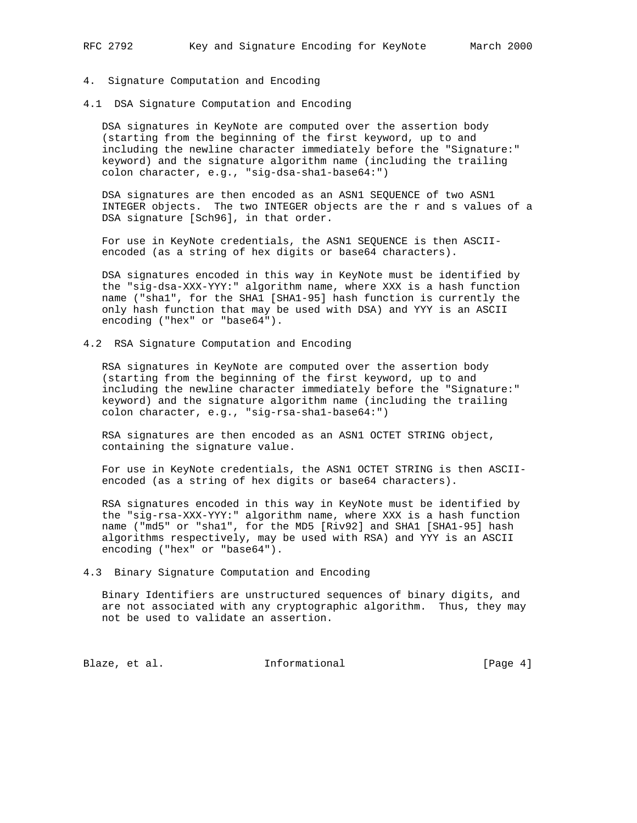- 4. Signature Computation and Encoding
- 4.1 DSA Signature Computation and Encoding

 DSA signatures in KeyNote are computed over the assertion body (starting from the beginning of the first keyword, up to and including the newline character immediately before the "Signature:" keyword) and the signature algorithm name (including the trailing colon character, e.g., "sig-dsa-sha1-base64:")

 DSA signatures are then encoded as an ASN1 SEQUENCE of two ASN1 INTEGER objects. The two INTEGER objects are the r and s values of a DSA signature [Sch96], in that order.

 For use in KeyNote credentials, the ASN1 SEQUENCE is then ASCII encoded (as a string of hex digits or base64 characters).

 DSA signatures encoded in this way in KeyNote must be identified by the "sig-dsa-XXX-YYY:" algorithm name, where XXX is a hash function name ("sha1", for the SHA1 [SHA1-95] hash function is currently the only hash function that may be used with DSA) and YYY is an ASCII encoding ("hex" or "base64").

4.2 RSA Signature Computation and Encoding

 RSA signatures in KeyNote are computed over the assertion body (starting from the beginning of the first keyword, up to and including the newline character immediately before the "Signature:" keyword) and the signature algorithm name (including the trailing colon character, e.g., "sig-rsa-sha1-base64:")

 RSA signatures are then encoded as an ASN1 OCTET STRING object, containing the signature value.

 For use in KeyNote credentials, the ASN1 OCTET STRING is then ASCII encoded (as a string of hex digits or base64 characters).

 RSA signatures encoded in this way in KeyNote must be identified by the "sig-rsa-XXX-YYY:" algorithm name, where XXX is a hash function name ("md5" or "sha1", for the MD5 [Riv92] and SHA1 [SHA1-95] hash algorithms respectively, may be used with RSA) and YYY is an ASCII encoding ("hex" or "base64").

4.3 Binary Signature Computation and Encoding

 Binary Identifiers are unstructured sequences of binary digits, and are not associated with any cryptographic algorithm. Thus, they may not be used to validate an assertion.

Blaze, et al. 1nformational [Page 4]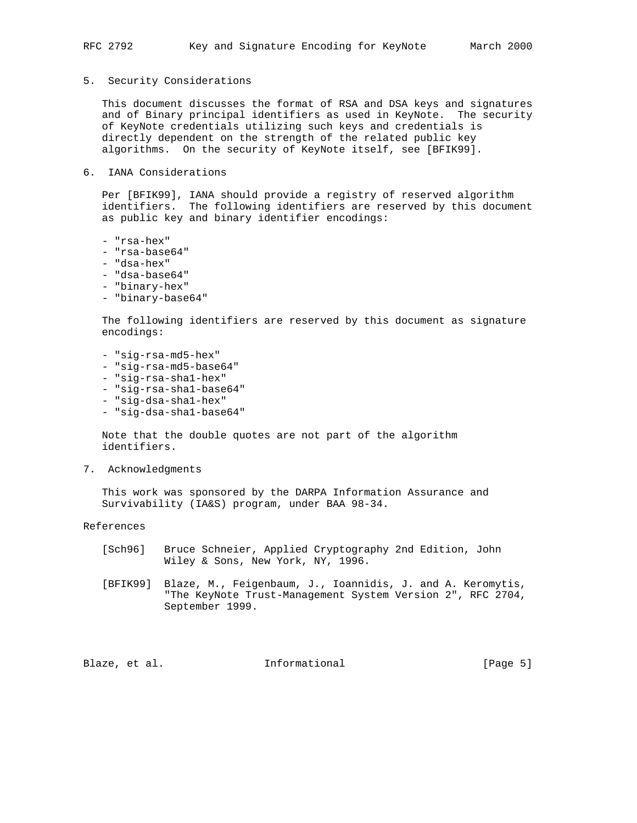5. Security Considerations

 This document discusses the format of RSA and DSA keys and signatures and of Binary principal identifiers as used in KeyNote. The security of KeyNote credentials utilizing such keys and credentials is directly dependent on the strength of the related public key algorithms. On the security of KeyNote itself, see [BFIK99].

6. IANA Considerations

 Per [BFIK99], IANA should provide a registry of reserved algorithm identifiers. The following identifiers are reserved by this document as public key and binary identifier encodings:

- "rsa-hex"
- "rsa-base64"
- "dsa-hex"
- "dsa-base64"
- "binary-hex"
- "binary-base64"

 The following identifiers are reserved by this document as signature encodings:

- "sig-rsa-md5-hex"
- "sig-rsa-md5-base64"
- "sig-rsa-sha1-hex"
- "sig-rsa-sha1-base64"
- "sig-dsa-sha1-hex"
- "sig-dsa-sha1-base64"

 Note that the double quotes are not part of the algorithm identifiers.

7. Acknowledgments

 This work was sponsored by the DARPA Information Assurance and Survivability (IA&S) program, under BAA 98-34.

References

- [Sch96] Bruce Schneier, Applied Cryptography 2nd Edition, John Wiley & Sons, New York, NY, 1996.
- [BFIK99] Blaze, M., Feigenbaum, J., Ioannidis, J. and A. Keromytis, "The KeyNote Trust-Management System Version 2", RFC 2704, September 1999.

Blaze, et al.  $I_n$  Informational [Page 5]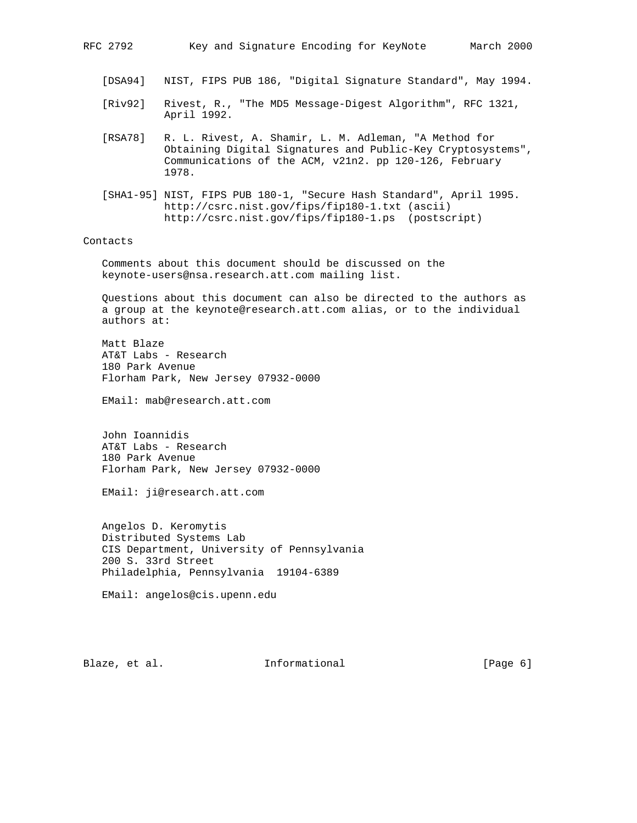[DSA94] NIST, FIPS PUB 186, "Digital Signature Standard", May 1994.

- [Riv92] Rivest, R., "The MD5 Message-Digest Algorithm", RFC 1321, April 1992.
- [RSA78] R. L. Rivest, A. Shamir, L. M. Adleman, "A Method for Obtaining Digital Signatures and Public-Key Cryptosystems", Communications of the ACM, v21n2. pp 120-126, February 1978.
- [SHA1-95] NIST, FIPS PUB 180-1, "Secure Hash Standard", April 1995. http://csrc.nist.gov/fips/fip180-1.txt (ascii) http://csrc.nist.gov/fips/fip180-1.ps (postscript)

#### Contacts

 Comments about this document should be discussed on the keynote-users@nsa.research.att.com mailing list.

 Questions about this document can also be directed to the authors as a group at the keynote@research.att.com alias, or to the individual authors at:

 Matt Blaze AT&T Labs - Research 180 Park Avenue Florham Park, New Jersey 07932-0000

EMail: mab@research.att.com

 John Ioannidis AT&T Labs - Research 180 Park Avenue Florham Park, New Jersey 07932-0000

EMail: ji@research.att.com

 Angelos D. Keromytis Distributed Systems Lab CIS Department, University of Pennsylvania 200 S. 33rd Street Philadelphia, Pennsylvania 19104-6389

EMail: angelos@cis.upenn.edu

Blaze, et al. 1nformational 1999 [Page 6]